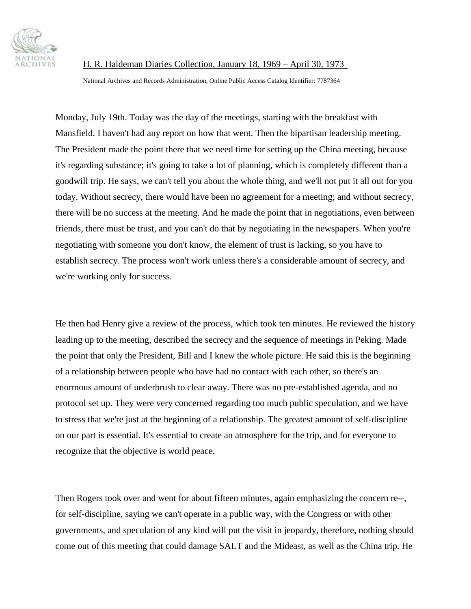

National Archives and Records Administration, Online Public Access Catalog Identifier: 7787364

Monday, July 19th. Today was the day of the meetings, starting with the breakfast with Mansfield. I haven't had any report on how that went. Then the bipartisan leadership meeting. The President made the point there that we need time for setting up the China meeting, because it's regarding substance; it's going to take a lot of planning, which is completely different than a goodwill trip. He says, we can't tell you about the whole thing, and we'll not put it all out for you today. Without secrecy, there would have been no agreement for a meeting; and without secrecy, there will be no success at the meeting. And he made the point that in negotiations, even between friends, there must be trust, and you can't do that by negotiating in the newspapers. When you're negotiating with someone you don't know, the element of trust is lacking, so you have to establish secrecy. The process won't work unless there's a considerable amount of secrecy, and we're working only for success.

He then had Henry give a review of the process, which took ten minutes. He reviewed the history leading up to the meeting, described the secrecy and the sequence of meetings in Peking. Made the point that only the President, Bill and I knew the whole picture. He said this is the beginning of a relationship between people who have had no contact with each other, so there's an enormous amount of underbrush to clear away. There was no pre-established agenda, and no protocol set up. They were very concerned regarding too much public speculation, and we have to stress that we're just at the beginning of a relationship. The greatest amount of self-discipline on our part is essential. It's essential to create an atmosphere for the trip, and for everyone to recognize that the objective is world peace.

Then Rogers took over and went for about fifteen minutes, again emphasizing the concern re--, for self-discipline, saying we can't operate in a public way, with the Congress or with other governments, and speculation of any kind will put the visit in jeopardy, therefore, nothing should come out of this meeting that could damage SALT and the Mideast, as well as the China trip. He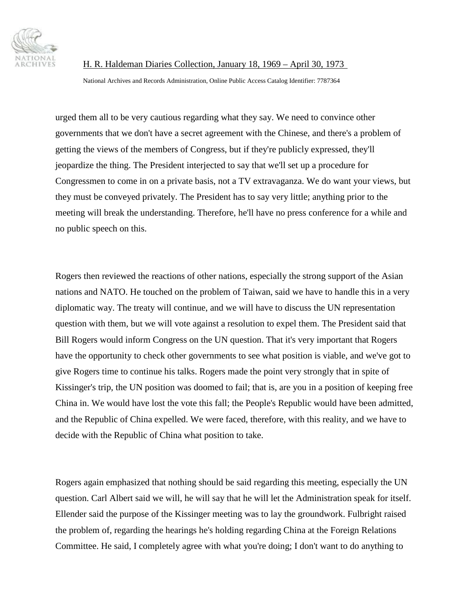

National Archives and Records Administration, Online Public Access Catalog Identifier: 7787364

urged them all to be very cautious regarding what they say. We need to convince other governments that we don't have a secret agreement with the Chinese, and there's a problem of getting the views of the members of Congress, but if they're publicly expressed, they'll jeopardize the thing. The President interjected to say that we'll set up a procedure for Congressmen to come in on a private basis, not a TV extravaganza. We do want your views, but they must be conveyed privately. The President has to say very little; anything prior to the meeting will break the understanding. Therefore, he'll have no press conference for a while and no public speech on this.

Rogers then reviewed the reactions of other nations, especially the strong support of the Asian nations and NATO. He touched on the problem of Taiwan, said we have to handle this in a very diplomatic way. The treaty will continue, and we will have to discuss the UN representation question with them, but we will vote against a resolution to expel them. The President said that Bill Rogers would inform Congress on the UN question. That it's very important that Rogers have the opportunity to check other governments to see what position is viable, and we've got to give Rogers time to continue his talks. Rogers made the point very strongly that in spite of Kissinger's trip, the UN position was doomed to fail; that is, are you in a position of keeping free China in. We would have lost the vote this fall; the People's Republic would have been admitted, and the Republic of China expelled. We were faced, therefore, with this reality, and we have to decide with the Republic of China what position to take.

Rogers again emphasized that nothing should be said regarding this meeting, especially the UN question. Carl Albert said we will, he will say that he will let the Administration speak for itself. Ellender said the purpose of the Kissinger meeting was to lay the groundwork. Fulbright raised the problem of, regarding the hearings he's holding regarding China at the Foreign Relations Committee. He said, I completely agree with what you're doing; I don't want to do anything to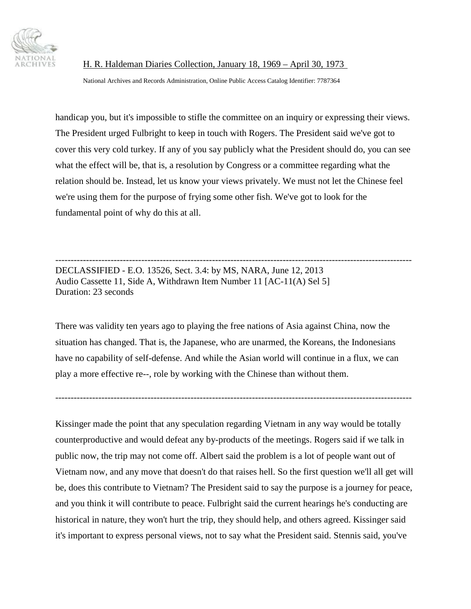

National Archives and Records Administration, Online Public Access Catalog Identifier: 7787364

handicap you, but it's impossible to stifle the committee on an inquiry or expressing their views. The President urged Fulbright to keep in touch with Rogers. The President said we've got to cover this very cold turkey. If any of you say publicly what the President should do, you can see what the effect will be, that is, a resolution by Congress or a committee regarding what the relation should be. Instead, let us know your views privately. We must not let the Chinese feel we're using them for the purpose of frying some other fish. We've got to look for the fundamental point of why do this at all.

-------------------------------------------------------------------------------------------------------------------- DECLASSIFIED - E.O. 13526, Sect. 3.4: by MS, NARA, June 12, 2013 Audio Cassette 11, Side A, Withdrawn Item Number 11 [AC-11(A) Sel 5] Duration: 23 seconds

There was validity ten years ago to playing the free nations of Asia against China, now the situation has changed. That is, the Japanese, who are unarmed, the Koreans, the Indonesians have no capability of self-defense. And while the Asian world will continue in a flux, we can play a more effective re--, role by working with the Chinese than without them.

--------------------------------------------------------------------------------------------------------------------

Kissinger made the point that any speculation regarding Vietnam in any way would be totally counterproductive and would defeat any by-products of the meetings. Rogers said if we talk in public now, the trip may not come off. Albert said the problem is a lot of people want out of Vietnam now, and any move that doesn't do that raises hell. So the first question we'll all get will be, does this contribute to Vietnam? The President said to say the purpose is a journey for peace, and you think it will contribute to peace. Fulbright said the current hearings he's conducting are historical in nature, they won't hurt the trip, they should help, and others agreed. Kissinger said it's important to express personal views, not to say what the President said. Stennis said, you've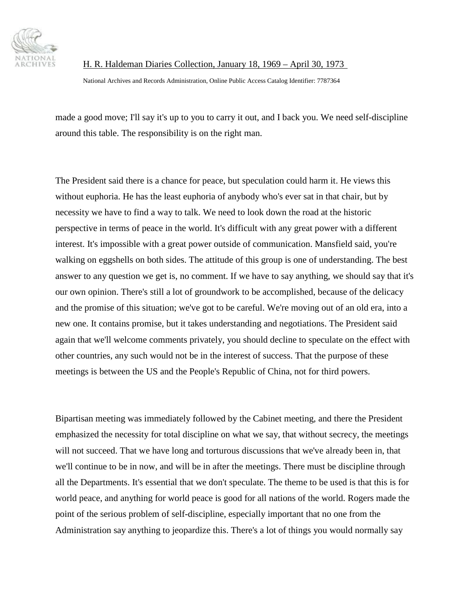

National Archives and Records Administration, Online Public Access Catalog Identifier: 7787364

made a good move; I'll say it's up to you to carry it out, and I back you. We need self-discipline around this table. The responsibility is on the right man.

The President said there is a chance for peace, but speculation could harm it. He views this without euphoria. He has the least euphoria of anybody who's ever sat in that chair, but by necessity we have to find a way to talk. We need to look down the road at the historic perspective in terms of peace in the world. It's difficult with any great power with a different interest. It's impossible with a great power outside of communication. Mansfield said, you're walking on eggshells on both sides. The attitude of this group is one of understanding. The best answer to any question we get is, no comment. If we have to say anything, we should say that it's our own opinion. There's still a lot of groundwork to be accomplished, because of the delicacy and the promise of this situation; we've got to be careful. We're moving out of an old era, into a new one. It contains promise, but it takes understanding and negotiations. The President said again that we'll welcome comments privately, you should decline to speculate on the effect with other countries, any such would not be in the interest of success. That the purpose of these meetings is between the US and the People's Republic of China, not for third powers.

Bipartisan meeting was immediately followed by the Cabinet meeting, and there the President emphasized the necessity for total discipline on what we say, that without secrecy, the meetings will not succeed. That we have long and torturous discussions that we've already been in, that we'll continue to be in now, and will be in after the meetings. There must be discipline through all the Departments. It's essential that we don't speculate. The theme to be used is that this is for world peace, and anything for world peace is good for all nations of the world. Rogers made the point of the serious problem of self-discipline, especially important that no one from the Administration say anything to jeopardize this. There's a lot of things you would normally say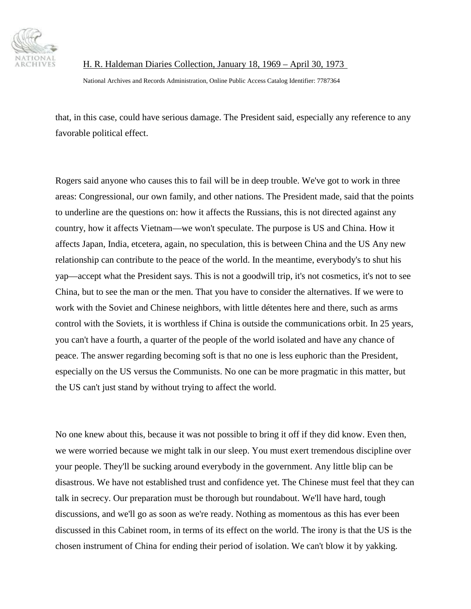

National Archives and Records Administration, Online Public Access Catalog Identifier: 7787364

that, in this case, could have serious damage. The President said, especially any reference to any favorable political effect.

Rogers said anyone who causes this to fail will be in deep trouble. We've got to work in three areas: Congressional, our own family, and other nations. The President made, said that the points to underline are the questions on: how it affects the Russians, this is not directed against any country, how it affects Vietnam—we won't speculate. The purpose is US and China. How it affects Japan, India, etcetera, again, no speculation, this is between China and the US Any new relationship can contribute to the peace of the world. In the meantime, everybody's to shut his yap—accept what the President says. This is not a goodwill trip, it's not cosmetics, it's not to see China, but to see the man or the men. That you have to consider the alternatives. If we were to work with the Soviet and Chinese neighbors, with little détentes here and there, such as arms control with the Soviets, it is worthless if China is outside the communications orbit. In 25 years, you can't have a fourth, a quarter of the people of the world isolated and have any chance of peace. The answer regarding becoming soft is that no one is less euphoric than the President, especially on the US versus the Communists. No one can be more pragmatic in this matter, but the US can't just stand by without trying to affect the world.

No one knew about this, because it was not possible to bring it off if they did know. Even then, we were worried because we might talk in our sleep. You must exert tremendous discipline over your people. They'll be sucking around everybody in the government. Any little blip can be disastrous. We have not established trust and confidence yet. The Chinese must feel that they can talk in secrecy. Our preparation must be thorough but roundabout. We'll have hard, tough discussions, and we'll go as soon as we're ready. Nothing as momentous as this has ever been discussed in this Cabinet room, in terms of its effect on the world. The irony is that the US is the chosen instrument of China for ending their period of isolation. We can't blow it by yakking.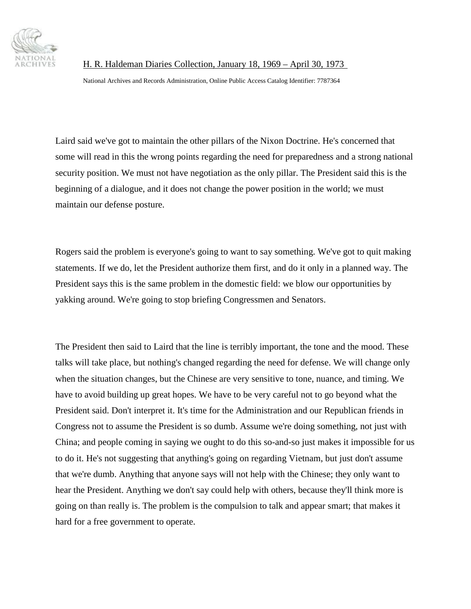

National Archives and Records Administration, Online Public Access Catalog Identifier: 7787364

Laird said we've got to maintain the other pillars of the Nixon Doctrine. He's concerned that some will read in this the wrong points regarding the need for preparedness and a strong national security position. We must not have negotiation as the only pillar. The President said this is the beginning of a dialogue, and it does not change the power position in the world; we must maintain our defense posture.

Rogers said the problem is everyone's going to want to say something. We've got to quit making statements. If we do, let the President authorize them first, and do it only in a planned way. The President says this is the same problem in the domestic field: we blow our opportunities by yakking around. We're going to stop briefing Congressmen and Senators.

The President then said to Laird that the line is terribly important, the tone and the mood. These talks will take place, but nothing's changed regarding the need for defense. We will change only when the situation changes, but the Chinese are very sensitive to tone, nuance, and timing. We have to avoid building up great hopes. We have to be very careful not to go beyond what the President said. Don't interpret it. It's time for the Administration and our Republican friends in Congress not to assume the President is so dumb. Assume we're doing something, not just with China; and people coming in saying we ought to do this so-and-so just makes it impossible for us to do it. He's not suggesting that anything's going on regarding Vietnam, but just don't assume that we're dumb. Anything that anyone says will not help with the Chinese; they only want to hear the President. Anything we don't say could help with others, because they'll think more is going on than really is. The problem is the compulsion to talk and appear smart; that makes it hard for a free government to operate.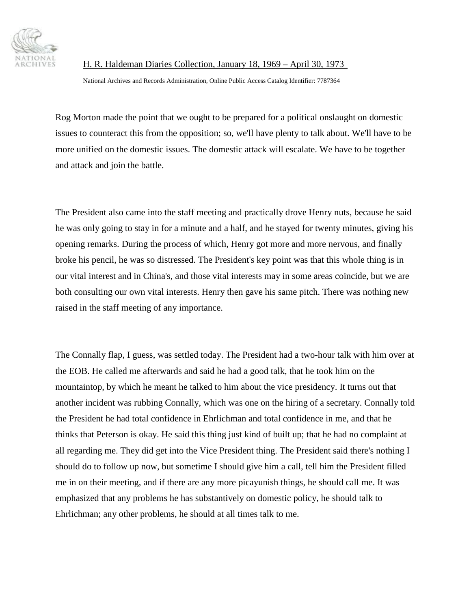

National Archives and Records Administration, Online Public Access Catalog Identifier: 7787364

Rog Morton made the point that we ought to be prepared for a political onslaught on domestic issues to counteract this from the opposition; so, we'll have plenty to talk about. We'll have to be more unified on the domestic issues. The domestic attack will escalate. We have to be together and attack and join the battle.

The President also came into the staff meeting and practically drove Henry nuts, because he said he was only going to stay in for a minute and a half, and he stayed for twenty minutes, giving his opening remarks. During the process of which, Henry got more and more nervous, and finally broke his pencil, he was so distressed. The President's key point was that this whole thing is in our vital interest and in China's, and those vital interests may in some areas coincide, but we are both consulting our own vital interests. Henry then gave his same pitch. There was nothing new raised in the staff meeting of any importance.

The Connally flap, I guess, was settled today. The President had a two-hour talk with him over at the EOB. He called me afterwards and said he had a good talk, that he took him on the mountaintop, by which he meant he talked to him about the vice presidency. It turns out that another incident was rubbing Connally, which was one on the hiring of a secretary. Connally told the President he had total confidence in Ehrlichman and total confidence in me, and that he thinks that Peterson is okay. He said this thing just kind of built up; that he had no complaint at all regarding me. They did get into the Vice President thing. The President said there's nothing I should do to follow up now, but sometime I should give him a call, tell him the President filled me in on their meeting, and if there are any more picayunish things, he should call me. It was emphasized that any problems he has substantively on domestic policy, he should talk to Ehrlichman; any other problems, he should at all times talk to me.